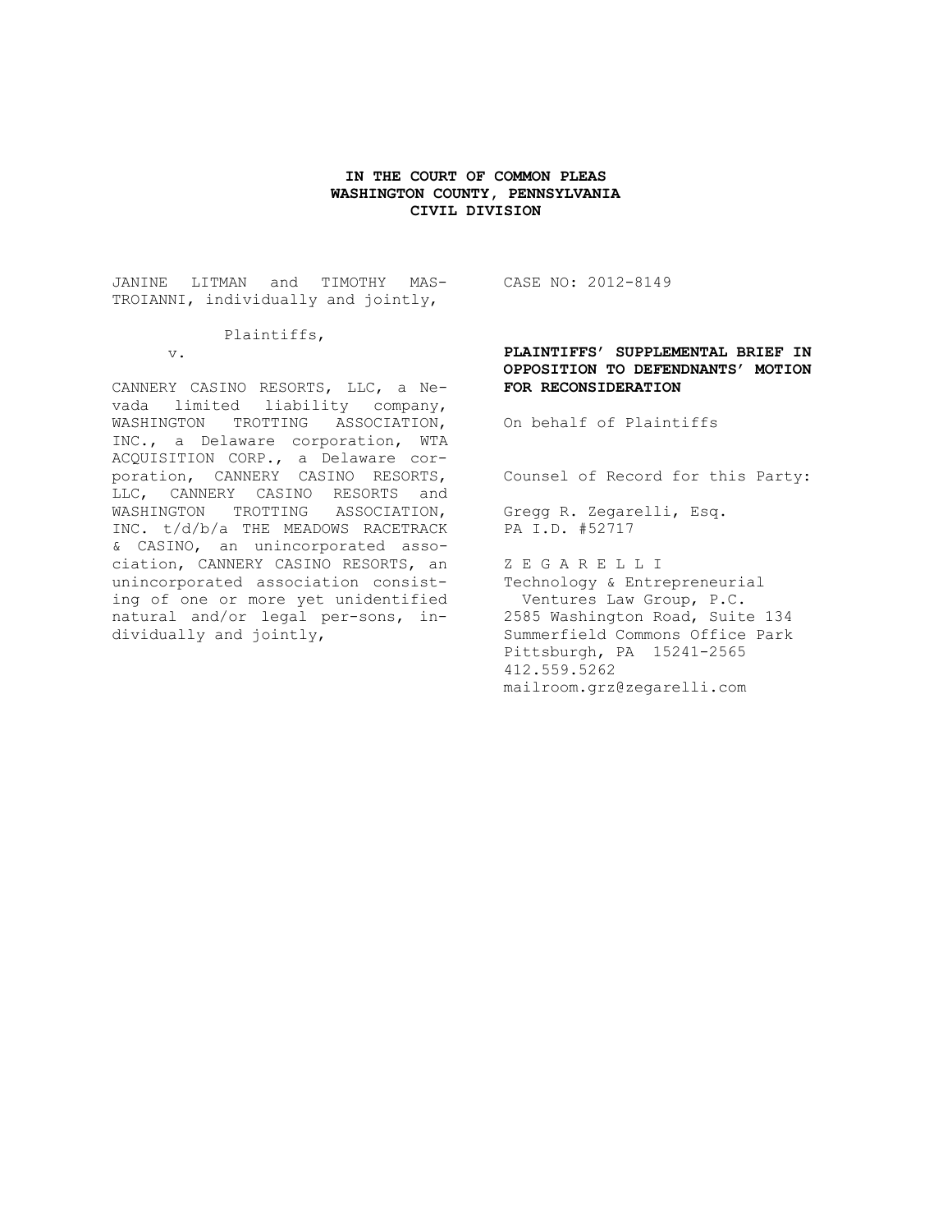### **IN THE COURT OF COMMON PLEAS WASHINGTON COUNTY, PENNSYLVANIA CIVIL DIVISION**

JANINE LITMAN and TIMOTHY MAS-TROIANNI, individually and jointly,

### Plaintiffs,

v.

CANNERY CASINO RESORTS, LLC, a Nevada limited liability company, WASHINGTON TROTTING ASSOCIATION, INC., a Delaware corporation, WTA ACQUISITION CORP., a Delaware corporation, CANNERY CASINO RESORTS, LLC, CANNERY CASINO RESORTS and WASHINGTON TROTTING ASSOCIATION, INC. t/d/b/a THE MEADOWS RACETRACK & CASINO, an unincorporated association, CANNERY CASINO RESORTS, an unincorporated association consisting of one or more yet unidentified natural and/or legal per-sons, individually and jointly,

CASE NO: 2012-8149

## **PLAINTIFFS' SUPPLEMENTAL BRIEF IN OPPOSITION TO DEFENDNANTS' MOTION FOR RECONSIDERATION**

On behalf of Plaintiffs

Counsel of Record for this Party:

Gregg R. Zegarelli, Esq. PA I.D. #52717

Z E G A R E L L I Technology & Entrepreneurial Ventures Law Group, P.C. 2585 Washington Road, Suite 134 Summerfield Commons Office Park Pittsburgh, PA 15241-2565 412.559.5262 mailroom.grz@zegarelli.com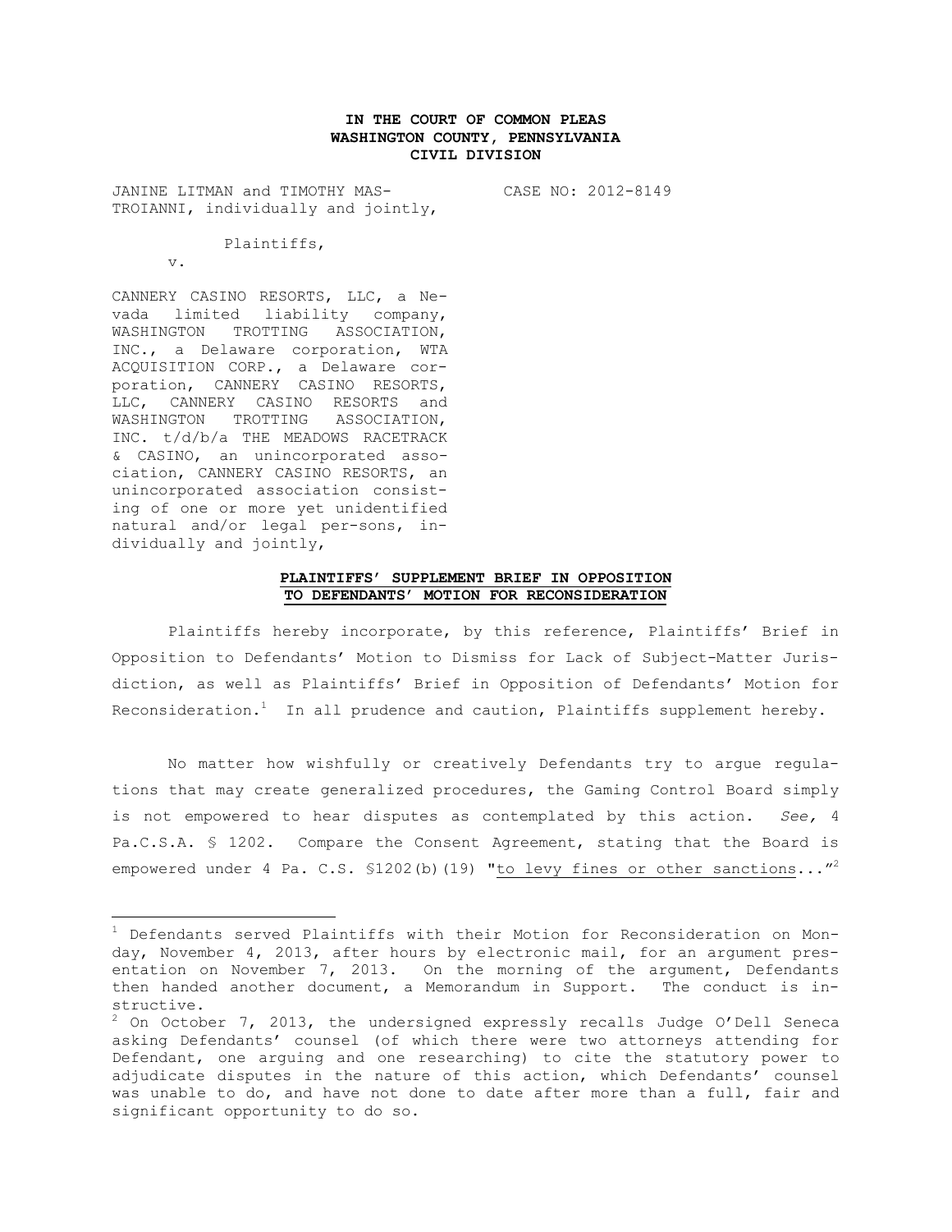## **IN THE COURT OF COMMON PLEAS WASHINGTON COUNTY, PENNSYLVANIA CIVIL DIVISION**

JANINE LITMAN and TIMOTHY MAS-TROIANNI, individually and jointly, CASE NO: 2012-8149

Plaintiffs,

v.

 $\overline{a}$ 

CANNERY CASINO RESORTS, LLC, a Nevada limited liability company, WASHINGTON TROTTING ASSOCIATION, INC., a Delaware corporation, WTA ACQUISITION CORP., a Delaware corporation, CANNERY CASINO RESORTS, LLC, CANNERY CASINO RESORTS and WASHINGTON TROTTING ASSOCIATION, INC. t/d/b/a THE MEADOWS RACETRACK & CASINO, an unincorporated association, CANNERY CASINO RESORTS, an unincorporated association consisting of one or more yet unidentified natural and/or legal per-sons, individually and jointly,

#### **PLAINTIFFS' SUPPLEMENT BRIEF IN OPPOSITION TO DEFENDANTS' MOTION FOR RECONSIDERATION**

Plaintiffs hereby incorporate, by this reference, Plaintiffs' Brief in Opposition to Defendants' Motion to Dismiss for Lack of Subject-Matter Jurisdiction, as well as Plaintiffs' Brief in Opposition of Defendants' Motion for Reconsideration. $^1$  In all prudence and caution, Plaintiffs supplement hereby.

No matter how wishfully or creatively Defendants try to argue regulations that may create generalized procedures, the Gaming Control Board simply is not empowered to hear disputes as contemplated by this action. *See,* 4 Pa.C.S.A. § 1202. Compare the Consent Agreement, stating that the Board is empowered under 4 Pa. C.S. §1202(b)(19) "to levy fines or other sanctions..."<sup>2</sup>

 $1$  Defendants served Plaintiffs with their Motion for Reconsideration on Monday, November 4, 2013, after hours by electronic mail, for an argument presentation on November 7, 2013. On the morning of the argument, Defendants then handed another document, a Memorandum in Support. The conduct is instructive.

 $^2$  On October 7, 2013, the undersigned expressly recalls Judge O'Dell Seneca asking Defendants' counsel (of which there were two attorneys attending for Defendant, one arguing and one researching) to cite the statutory power to adjudicate disputes in the nature of this action, which Defendants' counsel was unable to do, and have not done to date after more than a full, fair and significant opportunity to do so.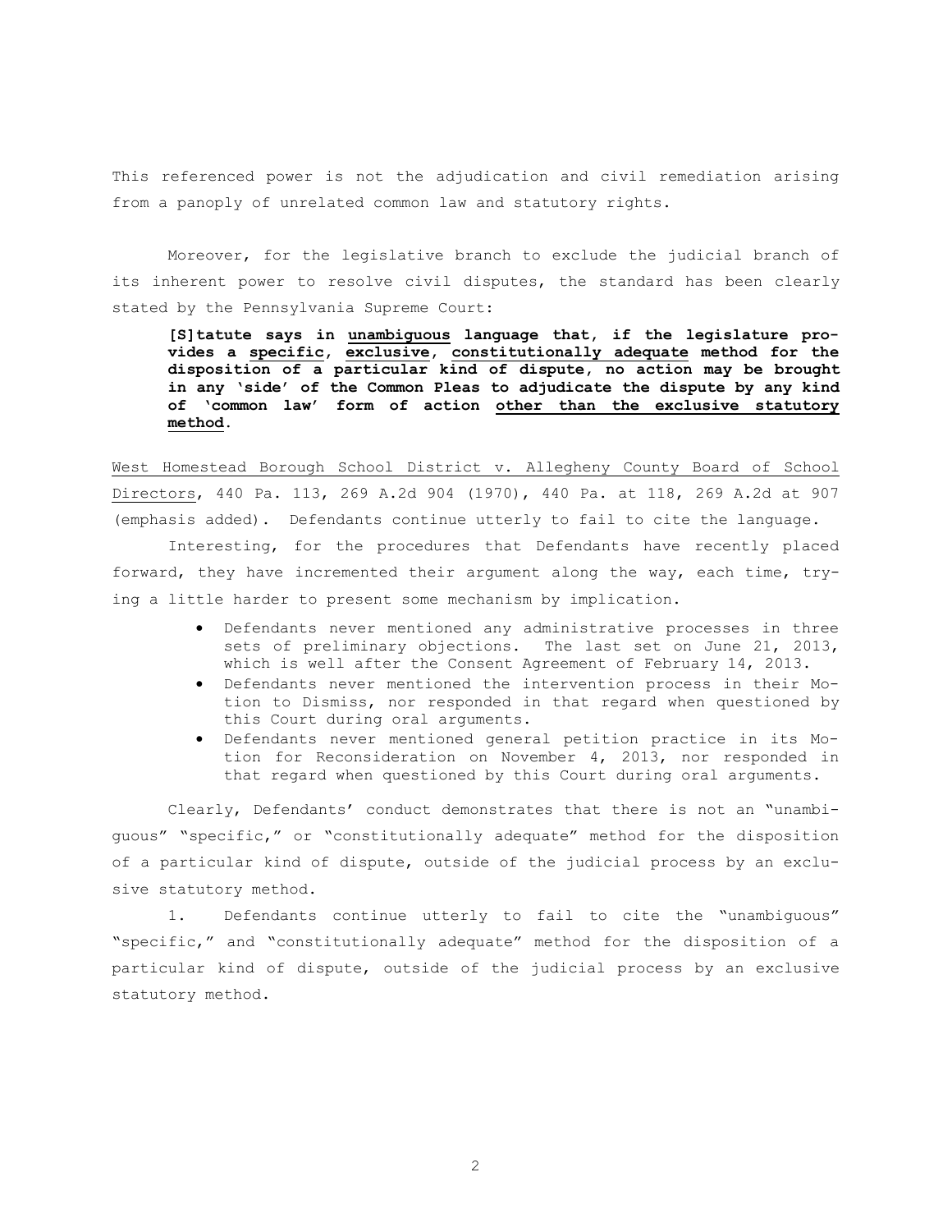This referenced power is not the adjudication and civil remediation arising from a panoply of unrelated common law and statutory rights.

Moreover, for the legislative branch to exclude the judicial branch of its inherent power to resolve civil disputes, the standard has been clearly stated by the Pennsylvania Supreme Court:

**[S]tatute says in unambiguous language that, if the legislature provides a specific, exclusive, constitutionally adequate method for the disposition of a particular kind of dispute, no action may be brought in any 'side' of the Common Pleas to adjudicate the dispute by any kind of 'common law' form of action other than the exclusive statutory method.** 

West Homestead Borough School District v. Allegheny County Board of School Directors, 440 Pa. 113, 269 A.2d 904 (1970), 440 Pa. at 118, 269 A.2d at 907 (emphasis added). Defendants continue utterly to fail to cite the language.

Interesting, for the procedures that Defendants have recently placed forward, they have incremented their argument along the way, each time, trying a little harder to present some mechanism by implication.

- Defendants never mentioned any administrative processes in three sets of preliminary objections. The last set on June 21, 2013, which is well after the Consent Agreement of February 14, 2013.
- Defendants never mentioned the intervention process in their Motion to Dismiss, nor responded in that regard when questioned by this Court during oral arguments.
- Defendants never mentioned general petition practice in its Motion for Reconsideration on November 4, 2013, nor responded in that regard when questioned by this Court during oral arguments.

Clearly, Defendants' conduct demonstrates that there is not an "unambiguous" "specific," or "constitutionally adequate" method for the disposition of a particular kind of dispute, outside of the judicial process by an exclusive statutory method.

1. Defendants continue utterly to fail to cite the "unambiguous" "specific," and "constitutionally adequate" method for the disposition of a particular kind of dispute, outside of the judicial process by an exclusive statutory method.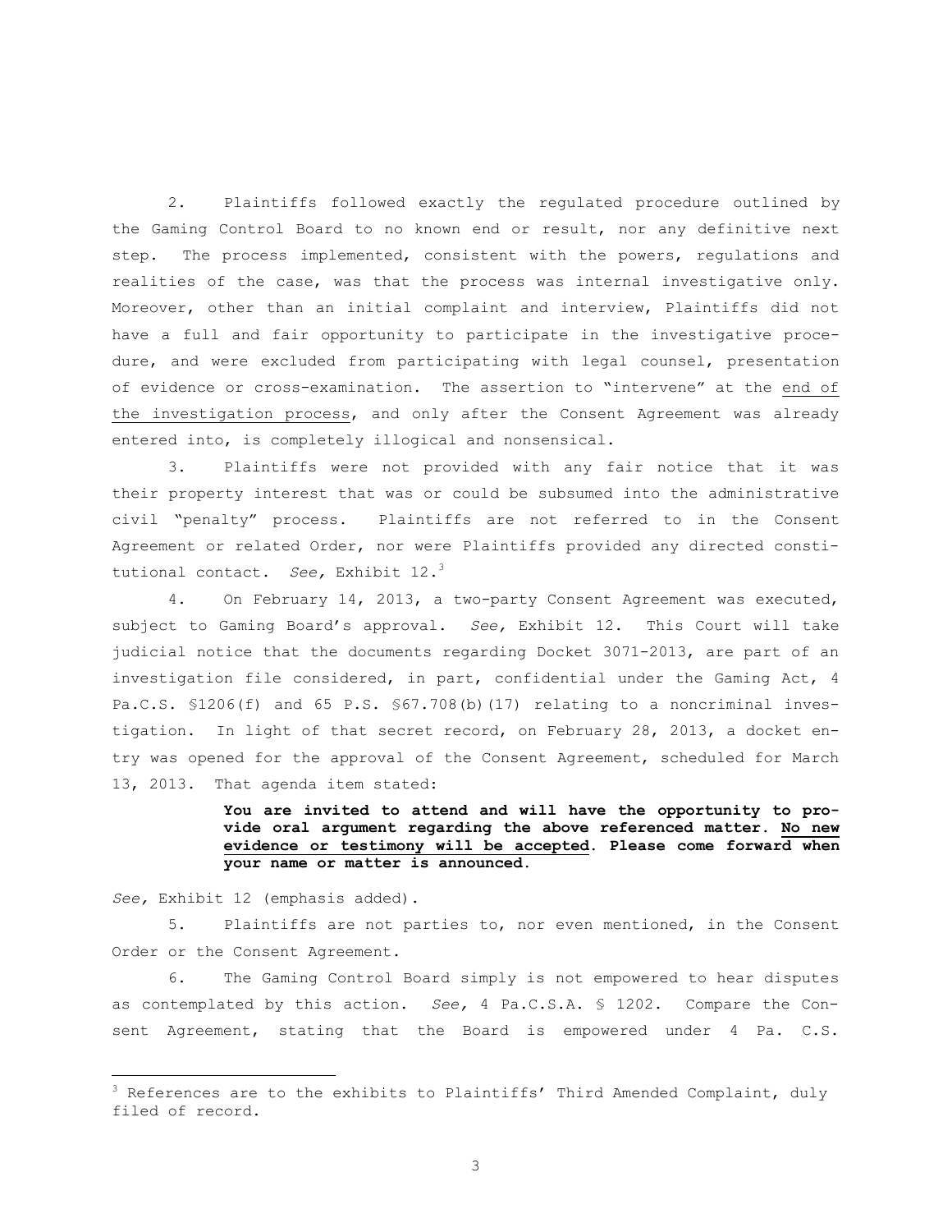2. Plaintiffs followed exactly the regulated procedure outlined by the Gaming Control Board to no known end or result, nor any definitive next step. The process implemented, consistent with the powers, regulations and realities of the case, was that the process was internal investigative only. Moreover, other than an initial complaint and interview, Plaintiffs did not have a full and fair opportunity to participate in the investigative procedure, and were excluded from participating with legal counsel, presentation of evidence or cross-examination. The assertion to "intervene" at the end of the investigation process, and only after the Consent Agreement was already entered into, is completely illogical and nonsensical.

3. Plaintiffs were not provided with any fair notice that it was their property interest that was or could be subsumed into the administrative civil "penalty" process. Plaintiffs are not referred to in the Consent Agreement or related Order, nor were Plaintiffs provided any directed constitutional contact. *See,* Exhibit 12.<sup>3</sup>

4. On February 14, 2013, a two-party Consent Agreement was executed, subject to Gaming Board's approval. *See,* Exhibit 12. This Court will take judicial notice that the documents regarding Docket 3071-2013, are part of an investigation file considered, in part, confidential under the Gaming Act, 4 Pa.C.S. \$1206(f) and 65 P.S. \$67.708(b)(17) relating to a noncriminal investigation. In light of that secret record, on February 28, 2013, a docket entry was opened for the approval of the Consent Agreement, scheduled for March 13, 2013. That agenda item stated:

> **You are invited to attend and will have the opportunity to provide oral argument regarding the above referenced matter. No new evidence or testimony will be accepted. Please come forward when your name or matter is announced.**

*See,* Exhibit 12 (emphasis added).

 $\overline{a}$ 

5. Plaintiffs are not parties to, nor even mentioned, in the Consent Order or the Consent Agreement.

6. The Gaming Control Board simply is not empowered to hear disputes as contemplated by this action. *See,* 4 Pa.C.S.A. § 1202. Compare the Consent Agreement, stating that the Board is empowered under 4 Pa. C.S.

 $3$  References are to the exhibits to Plaintiffs' Third Amended Complaint, duly filed of record.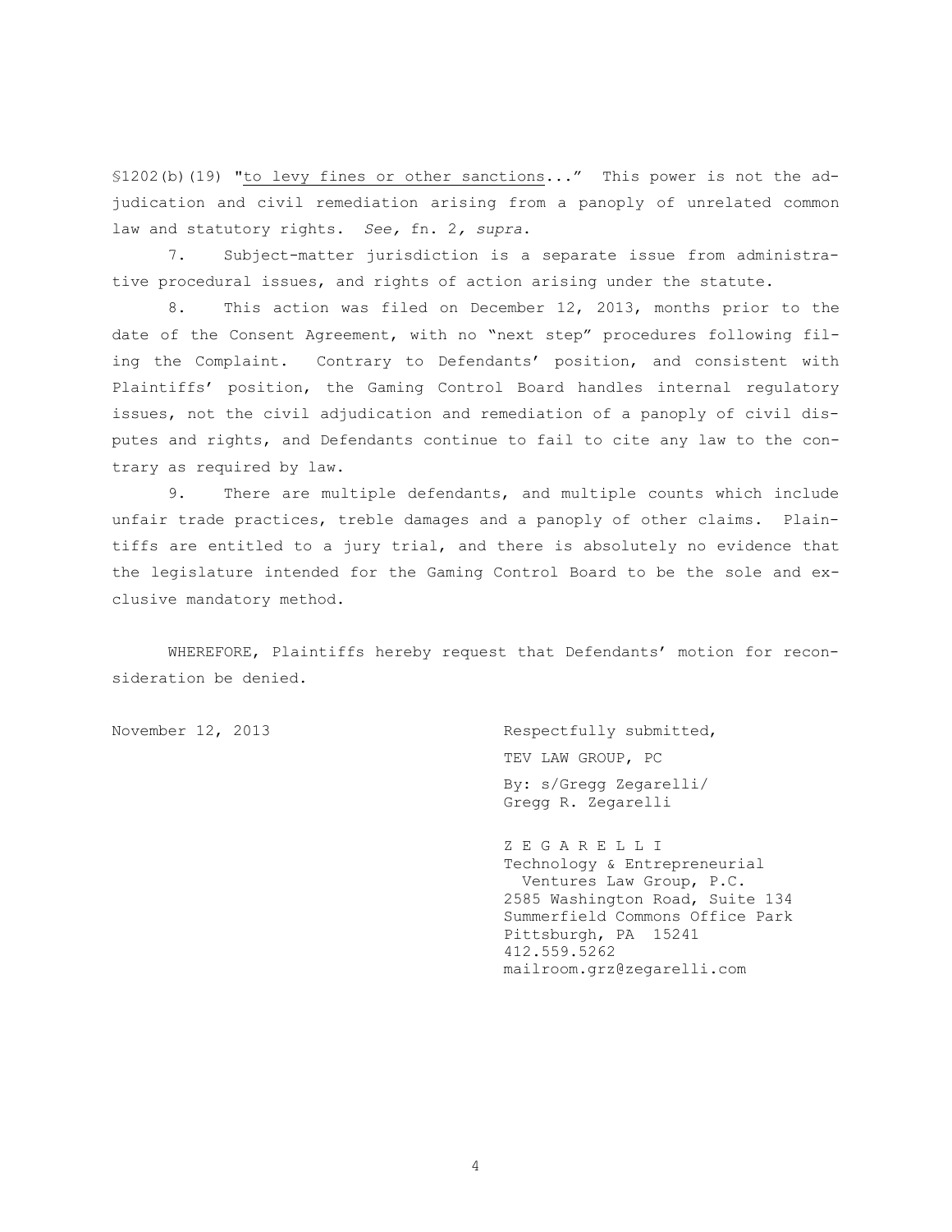§1202(b)(19) "to levy fines or other sanctions..." This power is not the adjudication and civil remediation arising from a panoply of unrelated common law and statutory rights. *See,* fn. 2*, supra*.

7. Subject-matter jurisdiction is a separate issue from administrative procedural issues, and rights of action arising under the statute.

8. This action was filed on December 12, 2013, months prior to the date of the Consent Agreement, with no "next step" procedures following filing the Complaint. Contrary to Defendants' position, and consistent with Plaintiffs' position, the Gaming Control Board handles internal regulatory issues, not the civil adjudication and remediation of a panoply of civil disputes and rights, and Defendants continue to fail to cite any law to the contrary as required by law.

9. There are multiple defendants, and multiple counts which include unfair trade practices, treble damages and a panoply of other claims. Plaintiffs are entitled to a jury trial, and there is absolutely no evidence that the legislature intended for the Gaming Control Board to be the sole and exclusive mandatory method.

WHEREFORE, Plaintiffs hereby request that Defendants' motion for reconsideration be denied.

November 12, 2013 Respectfully submitted, TEV LAW GROUP, PC By: s/Gregg Zegarelli/ Gregg R. Zegarelli

> Z E G A R E L L I Technology & Entrepreneurial Ventures Law Group, P.C. 2585 Washington Road, Suite 134 Summerfield Commons Office Park Pittsburgh, PA 15241 412.559.5262 mailroom.grz@zegarelli.com